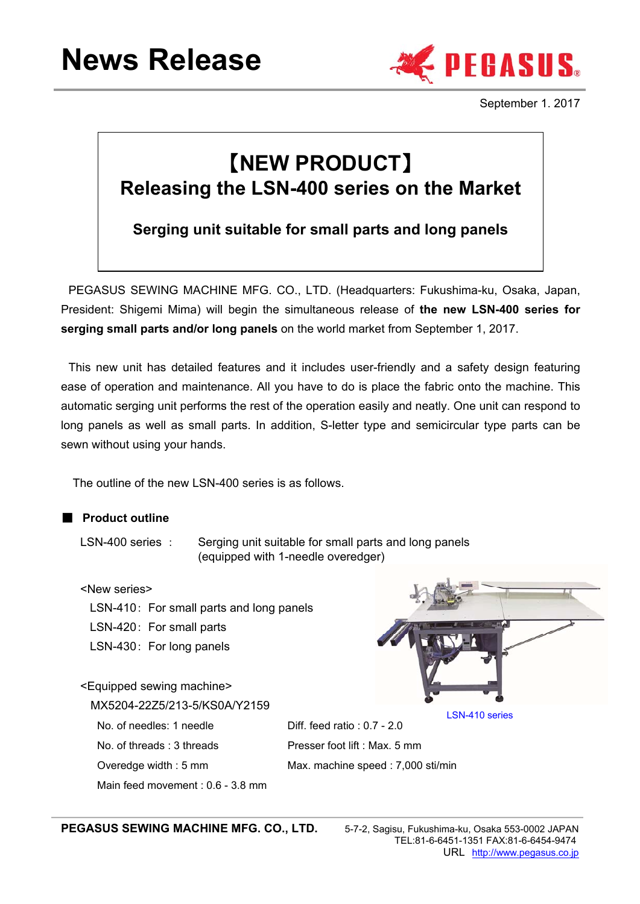

September 1. 2017

# 【**NEW PRODUCT**】

**Releasing the LSN-400 series on the Market** 

**Serging unit suitable for small parts and long panels** 

PEGASUS SEWING MACHINE MFG. CO., LTD. (Headquarters: Fukushima-ku, Osaka, Japan, President: Shigemi Mima) will begin the simultaneous release of **the new LSN-400 series for serging small parts and/or long panels** on the world market from September 1, 2017.

This new unit has detailed features and it includes user-friendly and a safety design featuring ease of operation and maintenance. All you have to do is place the fabric onto the machine. This automatic serging unit performs the rest of the operation easily and neatly. One unit can respond to long panels as well as small parts. In addition, S-letter type and semicircular type parts can be sewn without using your hands.

The outline of the new LSN-400 series is as follows.

# ■ **Product outline**

LSN-400 series : Serging unit suitable for small parts and long panels (equipped with 1-needle overedger)

#### <New series>

LSN-410: For small parts and long panels

LSN-420: For small parts

LSN-430: For long panels

<Equipped sewing machine>

MX5204-22Z5/213-5/KS0A/Y2159 No. of needles: 1 needle Diff. feed ratio : 0.7 - 2.0 No. of threads : 3 threads Presser foot lift : Max. 5 mm Overedge width : 5 mm Max. machine speed : 7,000 sti/min Main feed movement : 0.6 - 3.8 mm

LSN-410 series

PEGASUS SEWING MACHINE MFG. CO., LTD. 5-7-2, Sagisu, Fukushima-ku, Osaka 553-0002 JAPAN